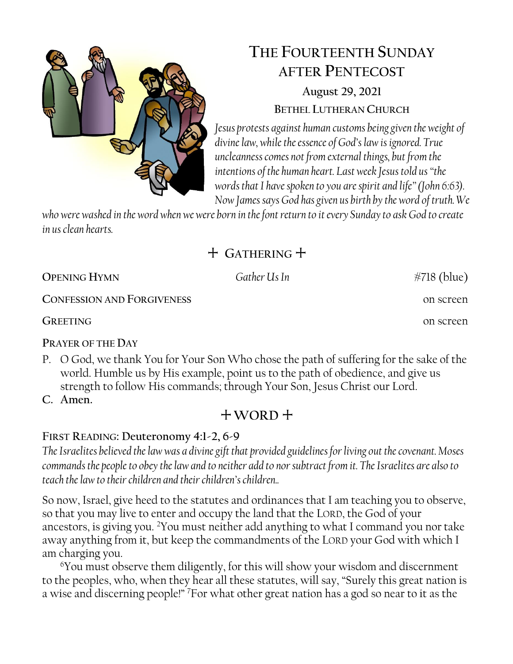

# **THE FOURTEENTH SUNDAY AFTER PENTECOST**

**August 29, 2021**

**BETHEL LUTHERAN CHURCH**

*Jesus protests against human customs being given the weight of divine law, while the essence of God's law is ignored. True uncleanness comes not from external things, but from the intentions of the human heart. Last week Jesus told us "the words that I have spoken to you are spirit and life"(John 6:63). Now James says God has given us birth by the word of truth. We* 

*who were washed in the word when we were born in the font return to it every Sunday to ask God to create in us clean hearts.*

## + **GATHERING** +

**OPENING HYMN** *Gather Us In* #718 (blue) **CONFESSION AND FORGIVENESS** on screen **GREETING** on screen

**PRAYER OF THE DAY**

P. O God, we thank You for Your Son Who chose the path of suffering for the sake of the world. Humble us by His example, point us to the path of obedience, and give us strength to follow His commands; through Your Son, Jesus Christ our Lord.

**C. Amen.** 

## + **WORD** +

## **FIRST READING: Deuteronomy 4:1-2, 6-9**

*The Israelites believed the law was a divine gift that provided guidelines for living out the covenant. Moses commands the people to obey the law and to neither add to nor subtract from it. The Israelites are also to teach the law to their children and their children's children..*

So now, Israel, give heed to the statutes and ordinances that I am teaching you to observe, so that you may live to enter and occupy the land that the LORD, the God of your ancestors, is giving you. <sup>2</sup>You must neither add anything to what I command you nor take away anything from it, but keep the commandments of the LORD your God with which I am charging you.

<sup>6</sup>You must observe them diligently, for this will show your wisdom and discernment to the peoples, who, when they hear all these statutes, will say, "Surely this great nation is a wise and discerning people!" 7For what other great nation has a god so near to it as the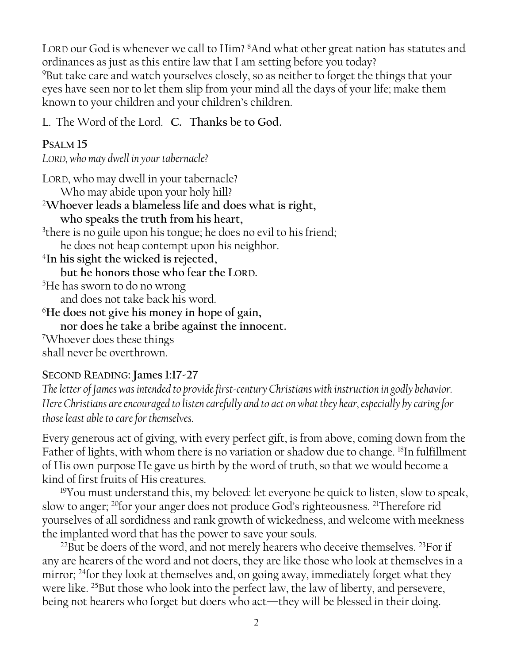LORD our God is whenever we call to Him? <sup>8</sup>And what other great nation has statutes and ordinances as just as this entire law that I am setting before you today? <sup>9</sup>But take care and watch yourselves closely, so as neither to forget the things that your eyes have seen nor to let them slip from your mind all the days of your life; make them known to your children and your children's children.

L. The Word of the Lord. **C. Thanks be to God.**

### **PSALM 15**

*LORD, who may dwell in your tabernacle?*

LORD, who may dwell in your tabernacle? Who may abide upon your holy hill? <sup>2</sup>**Whoever leads a blameless life and does what is right, who speaks the truth from his heart,** <sup>3</sup>there is no guile upon his tongue; he does no evil to his friend; he does not heap contempt upon his neighbor. 4 **In his sight the wicked is rejected, but he honors those who fear the LORD.** <sup>5</sup>He has sworn to do no wrong and does not take back his word. <sup>6</sup>**He does not give his money in hope of gain, nor does he take a bribe against the innocent.** <sup>7</sup>Whoever does these things shall never be overthrown.

## **SECOND READING: James 1:17-27**

*The letter of James was intended to provide first-century Christians with instruction in godly behavior. Here Christians are encouraged to listen carefully and to act on what they hear, especially by caring for those least able to care for themselves.*

Every generous act of giving, with every perfect gift, is from above, coming down from the Father of lights, with whom there is no variation or shadow due to change. <sup>18</sup>In fulfillment of His own purpose He gave us birth by the word of truth, so that we would become a kind of first fruits of His creatures.

<sup>19</sup>You must understand this, my beloved: let everyone be quick to listen, slow to speak, slow to anger; <sup>20</sup>for your anger does not produce God's righteousness. <sup>21</sup>Therefore rid yourselves of all sordidness and rank growth of wickedness, and welcome with meekness the implanted word that has the power to save your souls.

 $22$ But be doers of the word, and not merely hearers who deceive themselves.  $23$ For if any are hearers of the word and not doers, they are like those who look at themselves in a mirror; <sup>24</sup>for they look at themselves and, on going away, immediately forget what they were like. <sup>25</sup>But those who look into the perfect law, the law of liberty, and persevere, being not hearers who forget but doers who act—they will be blessed in their doing.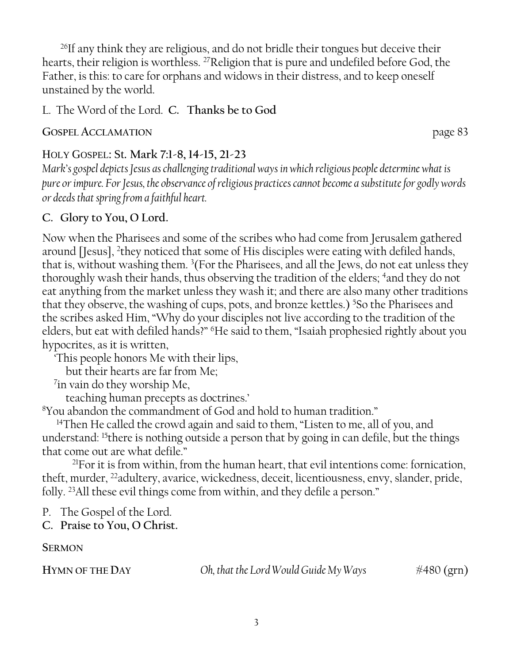<sup>26</sup>If any think they are religious, and do not bridle their tongues but deceive their hearts, their religion is worthless. <sup>27</sup>Religion that is pure and undefiled before God, the Father, is this: to care for orphans and widows in their distress, and to keep oneself unstained by the world.

## L. The Word of the Lord. **C. Thanks be to God**

## **GOSPEL ACCLAMATION** page 83

## HOLY GOSPEL: St. **Mark 7:1-8, 14-15, 21-23**

*Mark's gospel depicts Jesus as challenging traditional ways in which religious people determine what is pure or impure. For Jesus, the observance of religious practices cannot become a substitute for godly words or deeds that spring from a faithful heart.*

## **C. Glory to You, O Lord.**

Now when the Pharisees and some of the scribes who had come from Jerusalem gathered around [Jesus], <sup>2</sup>they noticed that some of His disciples were eating with defiled hands, that is, without washing them.  $3$ (For the Pharisees, and all the Jews, do not eat unless they thoroughly wash their hands, thus observing the tradition of the elders; <sup>4</sup>and they do not eat anything from the market unless they wash it; and there are also many other traditions that they observe, the washing of cups, pots, and bronze kettles.) <sup>5</sup>So the Pharisees and the scribes asked Him, "Why do your disciples not live according to the tradition of the elders, but eat with defiled hands?" <sup>6</sup>He said to them, "Isaiah prophesied rightly about you hypocrites, as it is written,

'This people honors Me with their lips,

but their hearts are far from Me;

7 in vain do they worship Me,

teaching human precepts as doctrines.'

<sup>8</sup>You abandon the commandment of God and hold to human tradition."

<sup>14</sup>Then He called the crowd again and said to them, "Listen to me, all of you, and understand: <sup>15</sup>there is nothing outside a person that by going in can defile, but the things that come out are what defile."

<sup>21</sup>For it is from within, from the human heart, that evil intentions come: fornication, theft, murder, <sup>22</sup>adultery, avarice, wickedness, deceit, licentiousness, envy, slander, pride, folly. <sup>23</sup>All these evil things come from within, and they defile a person."

P. The Gospel of the Lord.

**C. Praise to You, O Christ.**

**SERMON**

**H**YMN OF THE DAY *Oh, that the Lord Would Guide My Ways*  $\#480 \text{ (grn)}$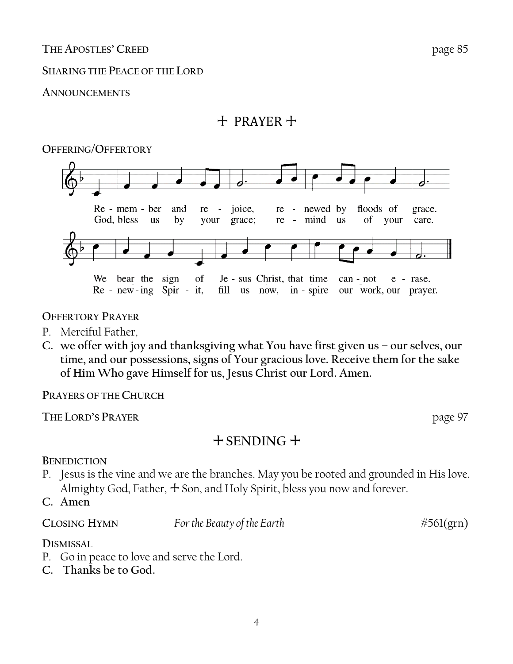#### **SHARING THE PEACE OF THE LORD**

#### **ANNOUNCEMENTS**

## $+$  PRAYER  $+$

#### **OFFERING/OFFERTORY**



**OFFERTORY PRAYER**

- P. Merciful Father,
- **C. we offer with joy and thanksgiving what You have first given us – our selves, our time, and our possessions, signs of Your gracious love. Receive them for the sake of Him Who gave Himself for us, Jesus Christ our Lord. Amen.**

**PRAYERS OF THE CHURCH**

**THE LORD'S PRAYER** page 97

## + **SENDING** +

**BENEDICTION**

- P. Jesus is the vine and we are the branches. May you be rooted and grounded in His love. Almighty God, Father,  $+$  Son, and Holy Spirit, bless you now and forever.
- **C. Amen**

**CLOSING HYMN** For the Beauty of the Earth  $\#561(qrn)$ 

**DISMISSAL** 

- P. Go in peace to love and serve the Lord.
- **C. Thanks be to God.**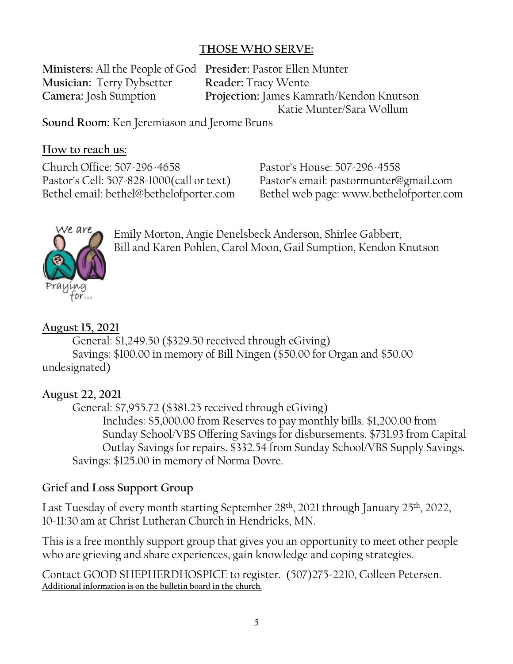### **THOSE WHO SERVE:**

**Ministers:** All the People of God **Presider:** Pastor Ellen Munter **Musician:** Terry Dybsetter **Reader:** Tracy Wente

**Camera:** Josh Sumption **Projection:** James Kamrath/Kendon Knutson Katie Munter/Sara Wollum

**Sound Room:** Ken Jeremiason and Jerome Bruns

#### **How to reach us:**

Church Office: 507-296-4658 Pastor's House: 507-296-4558 Pastor's Cell: 507-828-1000(call or text) Pastor's email: pastormunter@gmail.com

Bethel email: bethel@bethelofporter.com Bethel web page: www.bethelofporter.com



Emily Morton, Angie Denelsbeck Anderson, Shirlee Gabbert, Bill and Karen Pohlen, Carol Moon, Gail Sumption, Kendon Knutson

#### **August 15, 2021**

 General: \$1,249.50 (\$329.50 received through eGiving) Savings: \$100.00 in memory of Bill Ningen (\$50.00 for Organ and \$50.00 undesignated)

#### **August 22, 2021**

 General: \$7,955.72 (\$381.25 received through eGiving) Includes: \$5,000.00 from Reserves to pay monthly bills. \$1,200.00 from Sunday School/VBS Offering Savings for disbursements. \$731.93 from Capital Outlay Savings for repairs. \$332.54 from Sunday School/VBS Supply Savings. Savings: \$125.00 in memory of Norma Dovre.

#### **Grief and Loss Support Group**

Last Tuesday of every month starting September 28<sup>th</sup>, 2021 through January 25<sup>th</sup>, 2022, 10-11:30 am at Christ Lutheran Church in Hendricks, MN.

This is a free monthly support group that gives you an opportunity to meet other people who are grieving and share experiences, gain knowledge and coping strategies.

Contact GOOD SHEPHERDHOSPICE to register. (507)275-2210, Colleen Petersen. **Additional information is on the bulletin board in the church.**